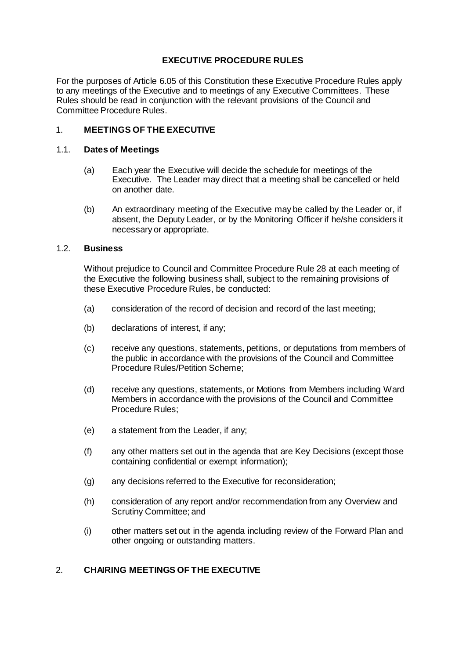# **EXECUTIVE PROCEDURE RULES**

For the purposes of Article 6.05 of this Constitution these Executive Procedure Rules apply to any meetings of the Executive and to meetings of any Executive Committees. These Rules should be read in conjunction with the relevant provisions of the Council and Committee Procedure Rules.

# 1. **MEETINGS OF THE EXECUTIVE**

#### 1.1. **Dates of Meetings**

- (a) Each year the Executive will decide the schedule for meetings of the Executive. The Leader may direct that a meeting shall be cancelled or held on another date.
- (b) An extraordinary meeting of the Executive may be called by the Leader or, if absent, the Deputy Leader, or by the Monitoring Officer if he/she considers it necessary or appropriate.

#### 1.2. **Business**

Without prejudice to Council and Committee Procedure Rule 28 at each meeting of the Executive the following business shall, subject to the remaining provisions of these Executive Procedure Rules, be conducted:

- (a) consideration of the record of decision and record of the last meeting;
- (b) declarations of interest, if any;
- (c) receive any questions, statements, petitions, or deputations from members of the public in accordance with the provisions of the Council and Committee Procedure Rules/Petition Scheme;
- (d) receive any questions, statements, or Motions from Members including Ward Members in accordance with the provisions of the Council and Committee Procedure Rules;
- (e) a statement from the Leader, if any;
- (f) any other matters set out in the agenda that are Key Decisions (except those containing confidential or exempt information);
- (g) any decisions referred to the Executive for reconsideration;
- (h) consideration of any report and/or recommendation from any Overview and Scrutiny Committee; and
- (i) other matters set out in the agenda including review of the Forward Plan and other ongoing or outstanding matters.

### 2. **CHAIRING MEETINGS OF THE EXECUTIVE**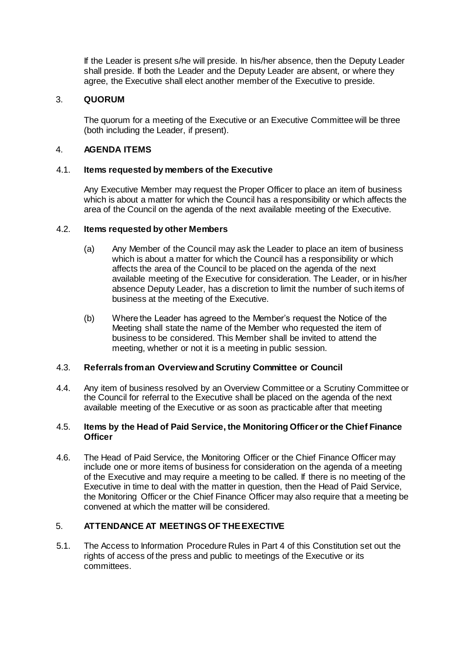If the Leader is present s/he will preside. In his/her absence, then the Deputy Leader shall preside. If both the Leader and the Deputy Leader are absent, or where they agree, the Executive shall elect another member of the Executive to preside.

### 3. **QUORUM**

The quorum for a meeting of the Executive or an Executive Committee will be three (both including the Leader, if present).

### 4. **AGENDA ITEMS**

### 4.1. **Items requested by members of the Executive**

Any Executive Member may request the Proper Officer to place an item of business which is about a matter for which the Council has a responsibility or which affects the area of the Council on the agenda of the next available meeting of the Executive.

#### 4.2. **Items requested by other Members**

- (a) Any Member of the Council may ask the Leader to place an item of business which is about a matter for which the Council has a responsibility or which affects the area of the Council to be placed on the agenda of the next available meeting of the Executive for consideration. The Leader, or in his/her absence Deputy Leader, has a discretion to limit the number of such items of business at the meeting of the Executive.
- (b) Where the Leader has agreed to the Member's request the Notice of the Meeting shall state the name of the Member who requested the item of business to be considered. This Member shall be invited to attend the meeting, whether or not it is a meeting in public session.

#### 4.3. **Referrals from an Overview and Scrutiny Committee or Council**

4.4. Any item of business resolved by an Overview Committee or a Scrutiny Committee or the Council for referral to the Executive shall be placed on the agenda of the next available meeting of the Executive or as soon as practicable after that meeting

#### 4.5. **Items by the Head of Paid Service, the Monitoring Officer or the Chief Finance Officer**

4.6. The Head of Paid Service, the Monitoring Officer or the Chief Finance Officer may include one or more items of business for consideration on the agenda of a meeting of the Executive and may require a meeting to be called. If there is no meeting of the Executive in time to deal with the matter in question, then the Head of Paid Service, the Monitoring Officer or the Chief Finance Officer may also require that a meeting be convened at which the matter will be considered.

# 5. **ATTENDANCE AT MEETINGS OF THE EXECTIVE**

5.1. The Access to Information Procedure Rules in Part 4 of this Constitution set out the rights of access of the press and public to meetings of the Executive or its committees.